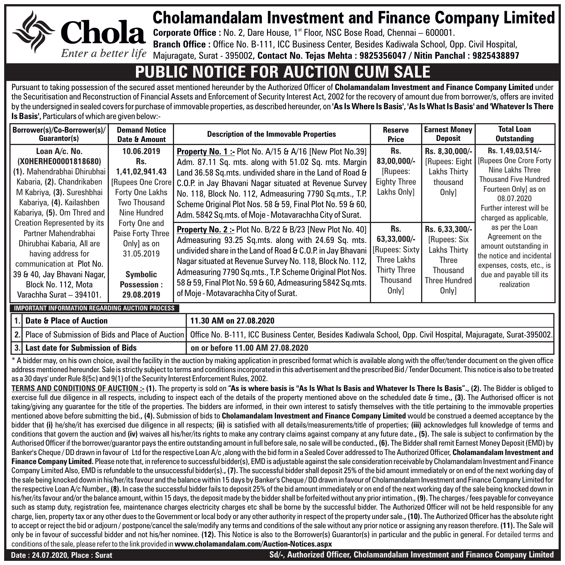

## Cholamandalam Investment and Finance Company Limited

**Corporate Office :** No. 2, Dare House, 1<sup>st</sup> Floor, NSC Bose Road, Chennai – 600001.

**Branch Office :** Office No. B-111, ICC Business Center, Besides Kadiwala School, Opp. Civil Hospital, Majuragate, Surat - 395002**, Contact No. Tejas Mehta : 9825356047 / Nitin Panchal : 9825438897**

## **PUBLIC NOTICE FOR AUCTION CUM**

Pursuant to taking possession of the secured asset mentioned hereunder by the Authorized Officer of **Cholamandalam Investment and Finance Company Limited** under the Securitisation and Reconstruction of Financial Assets and Enforcement of Security Interest Act, 2002 for the recovery of amount due from borrower/s, offers are invited by the undersigned in sealed covers for purchase of immovable properties, as described hereunder, on **'As Is Where Is Basis', 'As Is What Is Basis' and 'Whatever Is There Is Basis',** Particulars of which are given below:-

| Borrower(s)/Co-Borrower(s)/<br>Guarantor(s)                                                                                                                                                                                   | <b>Demand Notice</b><br>Date & Amount                                                                                                                                                                                                  | <b>Description of the Immovable Properties</b>                                                                                                                                                                                                                                                                                                                                                                                          | <b>Reserve</b><br>Price                                                       | <b>Earnest Money</b><br>Deposit                                                                      | <b>Total Loan</b><br><b>Outstanding</b>                                                                                                                                                                                                                                                                                                                                            |
|-------------------------------------------------------------------------------------------------------------------------------------------------------------------------------------------------------------------------------|----------------------------------------------------------------------------------------------------------------------------------------------------------------------------------------------------------------------------------------|-----------------------------------------------------------------------------------------------------------------------------------------------------------------------------------------------------------------------------------------------------------------------------------------------------------------------------------------------------------------------------------------------------------------------------------------|-------------------------------------------------------------------------------|------------------------------------------------------------------------------------------------------|------------------------------------------------------------------------------------------------------------------------------------------------------------------------------------------------------------------------------------------------------------------------------------------------------------------------------------------------------------------------------------|
| Loan A/c. No.<br>(XOHERHE00001818680)<br>(1). Mahendrabhai Dhirubhai<br>Kabaria, (2). Chandrikaben<br>M Kabriya, (3). Sureshbhai<br>Kabariya, (4). Kailashben<br>Kabariya, (5). Om Thred and                                  | 10.06.2019<br>Rs.<br>1.41.02.941.43<br>[Rupees One Crore]<br>Forty One Lakhs<br>Two Thousand<br>Nine Hundred<br>Forty One and<br>Paise Forty Three<br>Only) as on<br>31.05.2019<br><b>Symbolic</b><br><b>Possession:</b><br>29.08.2019 | <b>Property No. 1:- Plot No. A/15 &amp; A/16 [New Plot No.39]</b><br>Adm. 87.11 Sq. mts. along with 51.02 Sq. mts. Margin<br>Land 36.58 Sq.mts. undivided share in the Land of Road &<br>C.O.P. in Jay Bhavani Nagar situated at Revenue Survey<br>No. 118, Block No. 112, Admeasuring 7790 Sq.mts., T.P.<br>Scheme Original Plot Nos. 58 & 59, Final Plot No. 59 & 60,<br>Adm. 5842 Sq.mts. of Moje - Motavarachha City of Surat.      | Rs.<br>83,00,000/-<br>[Rupees:<br><b>Eighty Three</b><br>Lakhs Only]          | Rs. 8.30.000/-<br><b>Lakhs Thirty</b><br>thousand<br><b>Only</b>                                     | Rs. 1,49,03,514/-<br>[Rupees: Eight   [Rupees One Crore Forty<br>Nine Lakhs Three<br><b>Thousand Five Hundred</b><br>Fourteen Only] as on<br>08.07.2020<br>Further interest will be<br>charged as applicable,<br>as per the Loan<br>Agreement on the<br>amount outstanding in<br>the notice and incidental<br>expenses, costs, etc., is<br>due and payable till its<br>realization |
| <b>Creation Represented by its</b><br>Partner Mahendrabhai<br>Dhirubhai Kabaria, All are<br>having address for<br>communication at Plot No.<br>39 & 40, Jay Bhavani Nagar,<br>Block No. 112. Mota<br>Varachha Surat - 394101. |                                                                                                                                                                                                                                        | <b>Property No. 2:- Plot No. B/22 &amp; B/23 [New Plot No. 40]</b><br>Admeasuring 93.25 Sq.mts. along with 24.69 Sq. mts.<br>undivided share in the Land of Road & C.O.P. in Jay Bhavani   [Rupees: Sixty<br>Nagar situated at Revenue Survey No. 118, Block No. 112,<br>Admeasuring 7790 Sq.mts., T.P. Scheme Original Plot Nos.<br>58 & 59, Final Plot No. 59 & 60, Admeasuring 5842 Sq.mts.<br>of Moje - Motavarachha City of Surat. | Rs.<br>63,33,000/-<br>Three Lakhs<br><b>Thirty Three</b><br>Thousand<br>Only] | Rs. 6,33,300/-<br>[Rupees: Six<br><b>Lakhs Thirty</b><br>Three<br>Thousand<br>Three Hundred<br>Only] |                                                                                                                                                                                                                                                                                                                                                                                    |

**IMPORTANT INFORMATION REGARDING AUCTION PROCESS**

**1. 2. 3. Date & Place of Auction** Place of Submission of Bids and Place of Auction **Last date for Submission of Bids 11.30 AM on 27.08.2020 on or before 11.00 AM 27.08.2020** Office No. B-111, ICC Business Center, Besides Kadiwala School, Opp. Civil Hospital, Majuragate, Surat-395002.

\* A bidder may, on his own choice, avail the facility in the auction by making application in prescribed format which is available along with the offer/tender document on the given office address mentioned hereunder. Sale is strictly subject to terms and conditions incorporated in this advertisement and the prescribed Bid / Tender Document. This notice is also to be treated as a 30 days' under Rule 8(5c) and 9(1) of the Security Interest Enforcement Rules, 2002.

**TERMS AND CONDITIONS OF AUCTION :- (1).** The property is sold on **"As is where basis is ''As Is What Is Basis and Whatever Is There Is Basis"., (2).** The Bidder is obliged to exercise full due diligence in all respects, including to inspect each of the details of the property mentioned above on the scheduled date & time.**, (3).** The Authorised officer is not taking/giving any quarantee for the title of the properties. The bidders are informed, in their own interest to satisfy themselves with the title pertaining to the immovable properties mentioned above before submitting the bid.**, (4).** Submission of bids to **Cholamandalam Investment and Finance Company Limited** would be construed a deemed acceptance by the bidder that **(i)** he/she/it has exercised due diligence in all respects; **(ii)** is satisfied with all details/measurements/title of properties; **(iii)** acknowledges full knowledge of terms and conditions that govern the auction and **(iv)** waives all his/her/its rights to make any contrary claims against company at any future date.**, (5).** The sale is subject to confirmation by the Authorised Officer if the borrower/guarantor pays the entire outstanding amount in full before sale, no sale will be conducted.**, (6).** The Bidder shall remit Earnest Money Deposit (EMD) by Banker's Cheque / DD drawn in favour of Ltd for the respective Loan A/c ,along with the bid form in a Sealed Cover addressed to The Authorized Officer, **Cholamandalam Investment and Finance Company Limited.** Please note that, in reference to successful bidder(s), EMD is adjustable against the sale consideration receivable by Cholamandalam Investment and Finance Company Limited Also. EMD is refundable to the unsuccessful bidder(s)., (7). The successful bidder shall deposit 25% of the bid amount immediately or on end of the next working day of the sale being knocked down in his/her/its favour and the balance within 15 days by Banker's Cheque / DD drawn in favour of Cholamandalam Investment and Finance Company Limited for the respective Loan A/c Number., **(8).** In case the successful bidder fails to deposit 25% of the bid amount immediately or on end of the next working day of the sale being knocked down in his/her/its favour and/or the balance amount, within 15 days, the deposit made by the bidder shall be forfeited without any prior intimation., **(9).** The charges / fees payable for conveyance such as stamp duty, registration fee, maintenance charges electricity charges etc shall be borne by the successful bidder. The Authorized Officer will not be held responsible for any charge, lien, property tax or any other dues to the Government or local body or any other authority in respect of the property under sale.**, (10).** The Authorized Officer has the absolute right to accept or reject the bid or adjourn / postpone/cancel the sale/modify any terms and conditions of the sale without any prior notice or assigning any reason therefore. **(11).** The Sale will only be in favour of successful bidder and not his/her nominee. **(12).** This Notice is also to the Borrower(s) Guarantor(s) in particular and the public in general. For detailed terms and conditions of the sale, please refer to the link provided in **www.cholamandalam.com/Auction-Notices.aspx**

**Date : 24.07.2020, Place : Surat Sd/-, Authorized Officer, Cholamandalam Investment and Finance Company Limited**